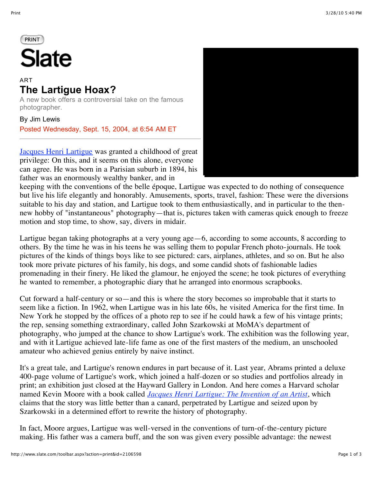## PRINT **Slate**

## ART **The Lartigue Hoax?**

A new book offers a controversial take on the famous photographer.

By Jim Lewis

Posted Wednesday, Sept. 15, 2004, at 6:54 AM ET

[Jacques Henri Lartigue](http://www.lartigue.org/) was granted a childhood of great privilege: On this, and it seems on this alone, everyone can agree. He was born in a Parisian suburb in 1894, his father was an enormously wealthy banker, and in



keeping with the conventions of the belle époque, Lartigue was expected to do nothing of consequence but live his life elegantly and honorably. Amusements, sports, travel, fashion: These were the diversions suitable to his day and station, and Lartigue took to them enthusiastically, and in particular to the thennew hobby of "instantaneous" photography—that is, pictures taken with cameras quick enough to freeze motion and stop time, to show, say, divers in midair.

Lartigue began taking photographs at a very young age—6, according to some accounts, 8 according to others. By the time he was in his teens he was selling them to popular French photo-journals. He took pictures of the kinds of things boys like to see pictured: cars, airplanes, athletes, and so on. But he also took more private pictures of his family, his dogs, and some candid shots of fashionable ladies promenading in their finery. He liked the glamour, he enjoyed the scene; he took pictures of everything he wanted to remember, a photographic diary that he arranged into enormous scrapbooks.

Cut forward a half-century or so—and this is where the story becomes so improbable that it starts to seem like a fiction. In 1962, when Lartigue was in his late 60s, he visited America for the first time. In New York he stopped by the offices of a photo rep to see if he could hawk a few of his vintage prints; the rep, sensing something extraordinary, called John Szarkowski at MoMA's department of photography, who jumped at the chance to show Lartigue's work. The exhibition was the following year, and with it Lartigue achieved late-life fame as one of the first masters of the medium, an unschooled amateur who achieved genius entirely by naive instinct.

It's a great tale, and Lartigue's renown endures in part because of it. Last year, Abrams printed a deluxe 400-page volume of Lartigue's work, which joined a half-dozen or so studies and portfolios already in print; an exhibition just closed at the Hayward Gallery in London. And here comes a Harvard scholar named Kevin Moore with a book called *[Jacques Henri Lartigue: The Invention of an Artist](http://www.amazon.com/exec/obidos/tg/detail/-/0691120021/)*, which claims that the story was little better than a canard, perpetrated by Lartigue and seized upon by Szarkowski in a determined effort to rewrite the history of photography.

In fact, Moore argues, Lartigue was well-versed in the conventions of turn-of-the-century picture making. His father was a camera buff, and the son was given every possible advantage: the newest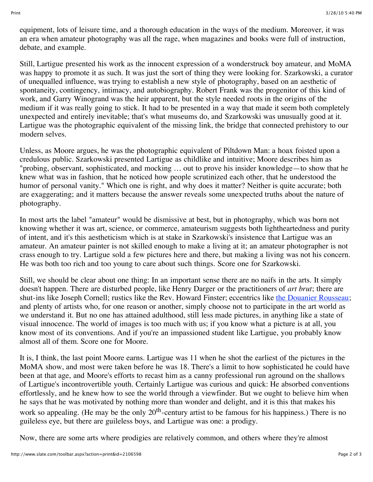equipment, lots of leisure time, and a thorough education in the ways of the medium. Moreover, it was an era when amateur photography was all the rage, when magazines and books were full of instruction, debate, and example.

Still, Lartigue presented his work as the innocent expression of a wonderstruck boy amateur, and MoMA was happy to promote it as such. It was just the sort of thing they were looking for. Szarkowski, a curator of unequalled influence, was trying to establish a new style of photography, based on an aesthetic of spontaneity, contingency, intimacy, and autobiography. Robert Frank was the progenitor of this kind of work, and Garry Winogrand was the heir apparent, but the style needed roots in the origins of the medium if it was really going to stick. It had to be presented in a way that made it seem both completely unexpected and entirely inevitable; that's what museums do, and Szarkowski was unusually good at it. Lartigue was the photographic equivalent of the missing link, the bridge that connected prehistory to our modern selves.

Unless, as Moore argues, he was the photographic equivalent of Piltdown Man: a hoax foisted upon a credulous public. Szarkowski presented Lartigue as childlike and intuitive; Moore describes him as "probing, observant, sophisticated, and mocking … out to prove his insider knowledge—to show that he knew what was in fashion, that he noticed how people scrutinized each other, that he understood the humor of personal vanity." Which one is right, and why does it matter? Neither is quite accurate; both are exaggerating; and it matters because the answer reveals some unexpected truths about the nature of photography.

In most arts the label "amateur" would be dismissive at best, but in photography, which was born not knowing whether it was art, science, or commerce, amateurism suggests both lightheartedness and purity of intent, and it's this aestheticism which is at stake in Szarkowski's insistence that Lartigue was an amateur. An amateur painter is not skilled enough to make a living at it; an amateur photographer is not crass enough to try. Lartigue sold a few pictures here and there, but making a living was not his concern. He was both too rich and too young to care about such things. Score one for Szarkowski.

Still, we should be clear about one thing: In an important sense there are no naifs in the arts. It simply doesn't happen. There are disturbed people, like Henry Darger or the practitioners of *art brut*; there are shut-ins like Joseph Cornell; rustics like the Rev. Howard Finster; eccentrics like [the Douanier Rousseau](http://www.artchive.com/artchive/R/rousseau.html); and plenty of artists who, for one reason or another, simply choose not to participate in the art world as we understand it. But no one has attained adulthood, still less made pictures, in anything like a state of visual innocence. The world of images is too much with us; if you know what a picture is at all, you know most of its conventions. And if you're an impassioned student like Lartigue, you probably know almost all of them. Score one for Moore.

It is, I think, the last point Moore earns. Lartigue was 11 when he shot the earliest of the pictures in the MoMA show, and most were taken before he was 18. There's a limit to how sophisticated he could have been at that age, and Moore's efforts to recast him as a canny professional run aground on the shallows of Lartigue's incontrovertible youth. Certainly Lartigue was curious and quick: He absorbed conventions effortlessly, and he knew how to see the world through a viewfinder. But we ought to believe him when he says that he was motivated by nothing more than wonder and delight, and it is this that makes his work so appealing. (He may be the only  $20<sup>th</sup>$ -century artist to be famous for his happiness.) There is no guileless eye, but there are guileless boys, and Lartigue was one: a prodigy.

Now, there are some arts where prodigies are relatively common, and others where they're almost